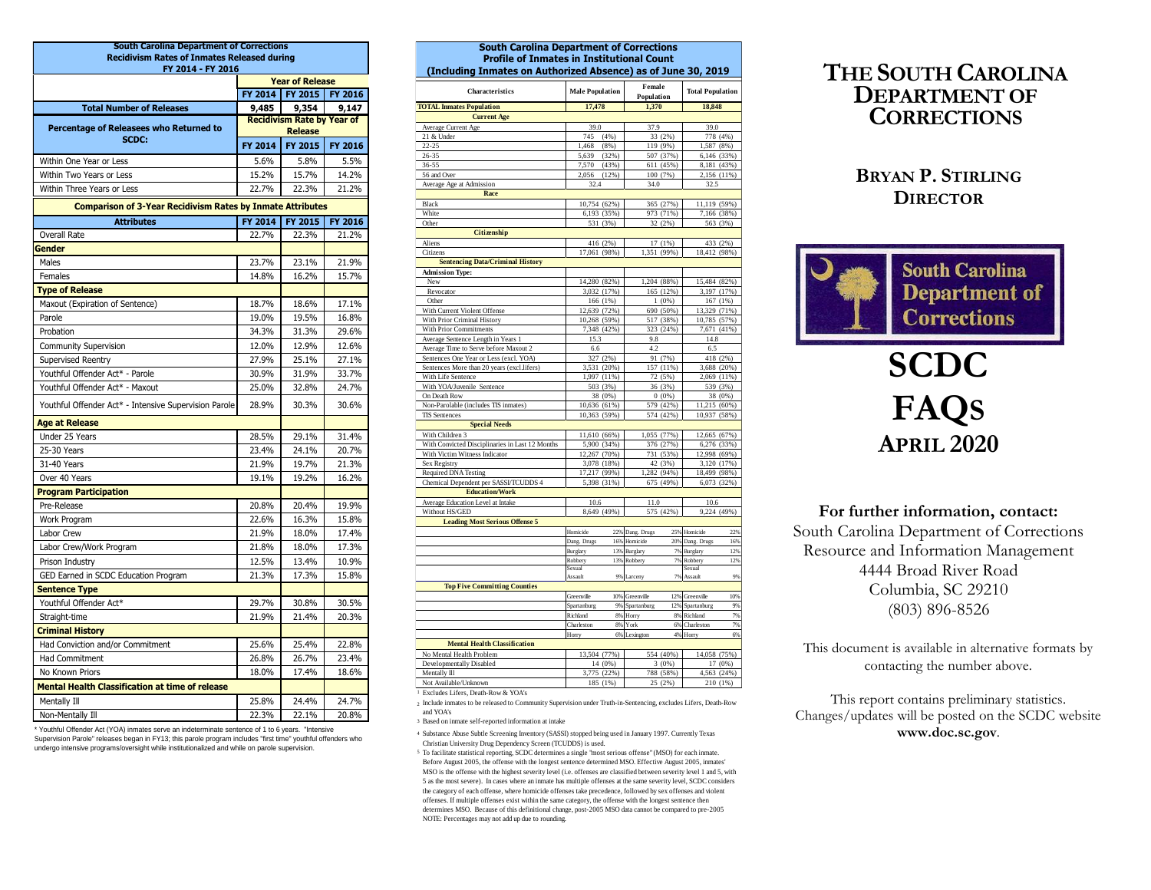| <b>South Carolina Department of Corrections</b>                   |                                                              |                        |                |  |  |  |  |  |
|-------------------------------------------------------------------|--------------------------------------------------------------|------------------------|----------------|--|--|--|--|--|
| <b>Recidivism Rates of Inmates Released during</b>                |                                                              |                        |                |  |  |  |  |  |
| FY 2014 - FY 2016                                                 |                                                              |                        |                |  |  |  |  |  |
|                                                                   |                                                              | <b>Year of Release</b> |                |  |  |  |  |  |
|                                                                   | FY 2014                                                      | FY 2015                | <b>FY 2016</b> |  |  |  |  |  |
| <b>Total Number of Releases</b>                                   | 9,485<br>9,354<br>9.147<br><b>Recidivism Rate by Year of</b> |                        |                |  |  |  |  |  |
| Percentage of Releasees who Returned to                           |                                                              | <b>Release</b>         |                |  |  |  |  |  |
| SCDC:                                                             | FY 2014                                                      | FY 2015                | FY 2016        |  |  |  |  |  |
| Within One Year or Less                                           | 5.6%                                                         | 5.8%                   | 5.5%           |  |  |  |  |  |
| Within Two Years or Less                                          | 15.2%                                                        | 15.7%                  | 14.2%          |  |  |  |  |  |
| Within Three Years or Less                                        | 22.7%                                                        | 22.3%                  | 21.2%          |  |  |  |  |  |
|                                                                   |                                                              |                        |                |  |  |  |  |  |
| <b>Comparison of 3-Year Recidivism Rates by Inmate Attributes</b> |                                                              |                        |                |  |  |  |  |  |
| <b>Attributes</b>                                                 | FY 2014                                                      | FY 2015                | <b>FY 2016</b> |  |  |  |  |  |
| <b>Overall Rate</b>                                               | 22.7%                                                        | 22.3%                  | 21.2%          |  |  |  |  |  |
| Gender                                                            |                                                              |                        |                |  |  |  |  |  |
| Males                                                             | 23.7%                                                        | 23.1%                  | 21.9%          |  |  |  |  |  |
| Females                                                           | 14.8%                                                        | 16.2%                  | 15.7%          |  |  |  |  |  |
| <b>Type of Release</b>                                            |                                                              |                        |                |  |  |  |  |  |
| Maxout (Expiration of Sentence)                                   | 18.7%                                                        | 18.6%                  | 17.1%          |  |  |  |  |  |
| Parole                                                            | 19.0%                                                        | 19.5%                  | 16.8%          |  |  |  |  |  |
| Probation                                                         | 34.3%                                                        | 31.3%                  | 29.6%          |  |  |  |  |  |
| <b>Community Supervision</b>                                      | 12.0%                                                        | 12.9%                  | 12.6%          |  |  |  |  |  |
| Supervised Reentry                                                | 27.9%                                                        | 25.1%                  | 27.1%          |  |  |  |  |  |
| Youthful Offender Act* - Parole                                   | 30.9%                                                        | 31.9%                  | 33.7%          |  |  |  |  |  |
| Youthful Offender Act* - Maxout                                   | 25.0%                                                        | 32.8%                  | 24.7%          |  |  |  |  |  |
| Youthful Offender Act* - Intensive Supervision Parole             | 28.9%                                                        | 30.3%                  | 30.6%          |  |  |  |  |  |
| Age at Release                                                    |                                                              |                        |                |  |  |  |  |  |
| Under 25 Years                                                    | 28.5%                                                        | 29.1%                  | 31.4%          |  |  |  |  |  |
| 25-30 Years                                                       | 23.4%                                                        | 24.1%                  | 20.7%          |  |  |  |  |  |
| 31-40 Years                                                       | 21.9%                                                        | 19.7%                  | 21.3%          |  |  |  |  |  |
| Over 40 Years                                                     | 19.1%                                                        | 19.2%                  | 16.2%          |  |  |  |  |  |
| <b>Program Participation</b>                                      |                                                              |                        |                |  |  |  |  |  |
| Pre-Release                                                       | 20.8%                                                        | 20.4%                  | 19.9%          |  |  |  |  |  |
| Work Program                                                      | 22.6%                                                        | 16.3%                  | 15.8%          |  |  |  |  |  |
| Labor Crew                                                        | 21.9%                                                        | 18.0%                  | 17.4%          |  |  |  |  |  |
| Labor Crew/Work Program                                           | 21.8%                                                        | 18.0%                  | 17.3%          |  |  |  |  |  |
| Prison Industry                                                   | 12.5%                                                        | 13.4%                  | 10.9%          |  |  |  |  |  |
| GED Earned in SCDC Education Program                              | 21.3%                                                        | 17.3%                  | 15.8%          |  |  |  |  |  |
| <b>Sentence Type</b>                                              |                                                              |                        |                |  |  |  |  |  |
| Youthful Offender Act*                                            | 29.7%                                                        | 30.8%                  | 30.5%          |  |  |  |  |  |
| Straight-time                                                     | 21.9%                                                        | 21.4%                  | 20.3%          |  |  |  |  |  |
| <b>Criminal History</b>                                           |                                                              |                        |                |  |  |  |  |  |
| Had Conviction and/or Commitment                                  | 25.6%                                                        | 25.4%                  | 22.8%          |  |  |  |  |  |
| <b>Had Commitment</b>                                             | 26.8%                                                        | 26.7%                  | 23.4%          |  |  |  |  |  |
| No Known Priors                                                   | 18.0%                                                        | 17.4%                  | 18.6%          |  |  |  |  |  |
| <b>Mental Health Classification at time of release</b>            |                                                              |                        |                |  |  |  |  |  |
| Mentally Ill                                                      | 25.8%                                                        | 24.4%                  | 24.7%          |  |  |  |  |  |
| Non-Mentally Ill                                                  | 22.3%                                                        | 22.1%                  | 20.8%          |  |  |  |  |  |

\* Youthful Offender Act (YOA) inmates serve an indeterminate sentence of 1 to 6 years. "Intensive Supervision Parole" releases began in FY13; this parole program includes "first time" youthful offenders who undergo intensive programs/oversight while institutionalized and while on parole supervision.

| <b>South Carolina Department of Corrections</b><br><b>Profile of Inmates in Institutional Count</b><br>(Including Inmates on Authorized Absence) as of June 30, 2019 |                        |       |                      |           |                         |         |  |
|----------------------------------------------------------------------------------------------------------------------------------------------------------------------|------------------------|-------|----------------------|-----------|-------------------------|---------|--|
| Characteristics                                                                                                                                                      | <b>Male Population</b> |       | Female<br>Population |           | <b>Total Population</b> |         |  |
| <b>TOTAL Inmates Population</b>                                                                                                                                      | 17,478                 |       | 1,370                |           | 18,848                  |         |  |
| <b>Current Age</b>                                                                                                                                                   |                        |       |                      |           |                         |         |  |
| Average Current Age                                                                                                                                                  | 39.0                   |       | 37.9                 |           | 39.0                    |         |  |
| 21 & Under                                                                                                                                                           | 745                    | (4% ) |                      | 33 (2%)   | 778 (4%)                |         |  |
| $22 - 25$                                                                                                                                                            | 1,468                  | (8% ) |                      | 119 (9%)  | 1,587 (8%)              |         |  |
| 26-35                                                                                                                                                                | 5,639                  | (32%) |                      | 507 (37%) | 6,146 (33%)             |         |  |
| 36-55                                                                                                                                                                | 7,570                  | (43%) |                      | 611 (45%) | 8,181 (43%)             |         |  |
| 56 and Over                                                                                                                                                          | 2,056                  | (12%) |                      | 100 (7%)  | 2,156 (11%)             |         |  |
| Average Age at Admission                                                                                                                                             | 32.4                   |       | 34.0                 |           | 32.5                    |         |  |
| Race                                                                                                                                                                 |                        |       |                      |           |                         |         |  |
| Black                                                                                                                                                                | 10,754 (62%)           |       |                      | 365 (27%) | 11,119 (59%)            |         |  |
| White                                                                                                                                                                | 6,193 (35%)            |       |                      | 973 (71%) | 7,166 (38%)             |         |  |
| Other                                                                                                                                                                | 531 (3%)               |       |                      | 32 (2%)   | 563 (3%)                |         |  |
| Citizenship                                                                                                                                                          |                        |       |                      |           |                         |         |  |
| Aliens                                                                                                                                                               | 416 (2%)               |       |                      | 17 (1%)   | 433 (2%)                |         |  |
| Citizens                                                                                                                                                             | 17,061 (98%)           |       | 1,351 (99%)          |           | 18,412 (98%)            |         |  |
| <b>Sentencing Data/Criminal History</b>                                                                                                                              |                        |       |                      |           |                         |         |  |
| <b>Admission Type:</b>                                                                                                                                               |                        |       |                      |           |                         |         |  |
| New                                                                                                                                                                  | 14,280 (82%)           |       | 1,204 (88%)          |           | 15,484 (82%)            |         |  |
| Revocator                                                                                                                                                            | 3,032 (17%)            |       |                      | 165 (12%) | 3,197 (17%)             |         |  |
| Other                                                                                                                                                                | 166 (1%)               |       |                      | $1(0\%)$  | 167 (1%)                |         |  |
| With Current Violent Offense                                                                                                                                         | 12,639 (72%)           |       |                      | 690 (50%) | 13,329 (71%)            |         |  |
| With Prior Criminal History                                                                                                                                          | 10,268 (59%)           |       |                      | 517 (38%) | 10,785 (57%)            |         |  |
| With Prior Commitments                                                                                                                                               | 7,348 (42%)            |       |                      | 323 (24%) | 7,671 (41%)             |         |  |
| Average Sentence Length in Years 1                                                                                                                                   | 15.3                   |       | 9.8                  |           | 14.8                    |         |  |
| Average Time to Serve before Maxout 2                                                                                                                                | 6.6                    |       | 4.2                  |           | 6.5                     |         |  |
| Sentences One Year or Less (excl. YOA)                                                                                                                               | 327 (2%)               |       |                      | 91 (7%)   | 418 (2%)                |         |  |
| Sentences More than 20 years (excl.lifers)                                                                                                                           | 3,531 (20%)            |       |                      | 157 (11%) | 3,688 (20%)             |         |  |
| With Life Sentence                                                                                                                                                   | 1,997 (11%)            |       |                      | 72 (5%)   | 2,069 (11%)             |         |  |
| With YOA/Juvenile Sentence                                                                                                                                           | 503 (3%)               |       |                      | 36 (3%)   | 539 (3%)                |         |  |
| On Death Row                                                                                                                                                         | 38 (0%)                |       |                      | $0(0\%)$  |                         | 38 (0%) |  |
| Non-Parolable (includes TIS inmates)                                                                                                                                 | 10,636 (61%)           |       |                      | 579 (42%) | 11,215 (60%)            |         |  |
| <b>TIS Sentences</b>                                                                                                                                                 | 10,363 (59%)           |       |                      | 574 (42%) | 10,937 (58%)            |         |  |
| <b>Special Needs</b>                                                                                                                                                 |                        |       |                      |           |                         |         |  |
| With Children 3                                                                                                                                                      | 11,610 (66%)           |       | 1,055 (77%)          |           | 12,665 (67%)            |         |  |
| With Convicted Disciplinaries in Last 12 Months                                                                                                                      | 5,900 (34%)            |       |                      | 376 (27%) | 6,276 (33%)             |         |  |
| With Victim Witness Indicator                                                                                                                                        | 12,267 (70%)           |       |                      | 731 (53%) | 12,998 (69%)            |         |  |
| Sex Registry                                                                                                                                                         | 3,078 (18%)            |       |                      | 42 (3%)   | 3,120 (17%)             |         |  |
| Required DNA Testing                                                                                                                                                 | 17,217 (99%)           |       | 1,282 (94%)          |           | 18,499 (98%)            |         |  |
| Chemical Dependent per SASSI/TCUDDS 4                                                                                                                                | 5,398 (31%)            |       |                      | 675 (49%) | 6,073 (32%)             |         |  |
| <b>Education/Work</b>                                                                                                                                                |                        |       |                      |           |                         |         |  |
| Average Education Level at Intake                                                                                                                                    | 10.6                   |       | 11.0                 |           | 10.6                    |         |  |
| Without HS/GED                                                                                                                                                       | 8,649 (49%)            |       |                      | 575 (42%) | 9,224 (49%)             |         |  |
| <b>Leading Most Serious Offense 5</b>                                                                                                                                |                        |       |                      |           |                         |         |  |
|                                                                                                                                                                      | Homicide               |       | 22% Dang. Drugs      |           | 25% Homicide            | 22%     |  |
|                                                                                                                                                                      | Dang. Drugs            | 16%   | Homicide             | 20%       | Dang. Drugs             | 16%     |  |
|                                                                                                                                                                      | Burglary               |       | 13% Burglary         | 7%        | Burglary                | 12%     |  |
|                                                                                                                                                                      | Robbery                |       | 13% Robbery          | 7%        | Robbery                 | 12%     |  |
|                                                                                                                                                                      | Sexual                 |       |                      |           | Sexual                  |         |  |
|                                                                                                                                                                      | Assault                |       | 9% Larceny           | 7%        | Assault                 | 9%      |  |
| <b>Top Five Committing Counties</b>                                                                                                                                  |                        |       |                      |           |                         |         |  |
|                                                                                                                                                                      | Greenville             |       | 10% Greenville       | 12%       | Greenville              | 10%     |  |
|                                                                                                                                                                      | Spartanburg            | 9%    | Spartanburg          | 12%       | Spartanburg             | 9%      |  |
|                                                                                                                                                                      | Richland               |       | 8% Horry             | $8\%$     | Richland                | 7%      |  |
|                                                                                                                                                                      | Charleston             |       | 8% York              | 6%        | Charleston              | 7%      |  |
|                                                                                                                                                                      | Horry                  |       | 6% Lexington         | 4%        | Horry                   | 6%      |  |
| <b>Mental Health Classification</b>                                                                                                                                  |                        |       |                      |           |                         |         |  |
| No Mental Health Problem                                                                                                                                             | 13,504 (77%)           |       |                      | 554 (40%) | 14,058 (75%)            |         |  |
| Developmentally Disabled                                                                                                                                             | 14 (0%)                |       |                      | $3(0\%)$  |                         | 17 (0%) |  |
| Mentally Ill                                                                                                                                                         | 3,775 (22%)            |       |                      | 788 (58%) | 4,563 (24%)             |         |  |
| Not Available/Unknown                                                                                                                                                | 185 (1%)               |       |                      | 25 (2%)   | 210 (1%)                |         |  |

1 Excludes Lifers, Death-Row & YOA's

2 Include inmates to be released to Community Supervision under Truth-in-Sentencing, excludes Lifers, Death-Row and YOA's

3 Based on inmate self-reported information at intake

4 Substance Abuse Subtle Screening Inventory (SASSI) stopped being used in January 1997. Currently Texas Christian University Drug Dependency Screen (TCUDDS) is used.

5 To facilitate statistical reporting, SCDC determines a single "most serious offense" (MSO) for each inmate. NOTE: Percentages may not add up due to rounding. Before August 2005, the offense with the longest sentence determined MSO. Effective August 2005, inmates' MSO is the offense with the highest severity level (i.e. offenses are classified between severity level 1 and 5, with 5 as the most severe). In cases where an inmate has multiple offenses at the same severity level, SCDC considers the category of each offense, where homicide offenses take precedence, followed by sex offenses and violent offenses. If multiple offenses exist within the same category, the offense with the longest sentence then determines MSO. Because of this definitional change, post-2005 MSO data cannot be compared to pre-2005

## **THE SOUTH CAROLINA DEPARTMENT OF CORRECTIONS**

### **BRYAN P. STIRLING DIRECTOR**



# **SCDC FAQS APRIL 2020**

**For further information, contact:** South Carolina Department of Corrections Resource and Information Management 4444 Broad River Road Columbia, SC 29210 (803) 896-8526

This document is available in alternative formats by contacting the number above.

This report contains preliminary statistics. Changes/updates will be posted on the SCDC website **www.doc.sc.gov**.